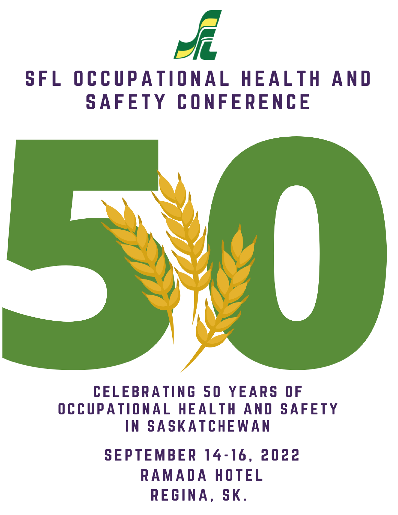

## **SFL OCCUPATIONAL HEALTH AND SAFETY CONFERENCE**



**CELEBRATING 50 YEARS OF** OCCUPATIONAL HEALTH AND SAFETY **IN SASKATCHEWAN** 

> **SEPTEMBER 14-16, 2022 RAMADA HOTEL** REGINA, SK.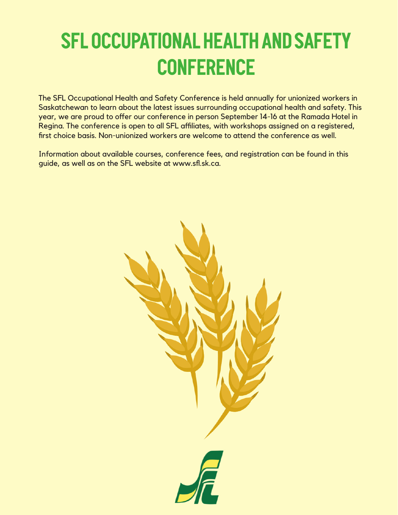# **SFL Occupational Health and Safety Conference**

The SFL Occupational Health and Safety Conference is held annually for unionized workers in Saskatchewan to learn about the latest issues surrounding occupational health and safety. This year, we are proud to offer our conference in person September 14-16 at the Ramada Hotel in Regina. The conference is open to all SFL affiliates, with workshops assigned on a registered, first choice basis. Non-unionized workers are welcome to attend the conference as well.

Information about available courses, conference fees, and registration can be found in this guide, as well as on the SFL website at www.sfl.sk.ca.

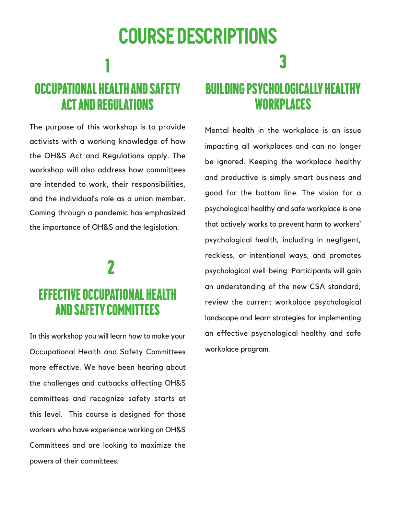# **Course Descriptions** Occupational Health and safety

The purpose of this workshop is to provide activists with a working knowledge of how the OH&S Act and Regulations apply. The workshop will also address how committees are intended to work, their responsibilities, and the individual's role as a union member. Coming through a pandemic has emphasized the importance of OH&S and the legislation.

1

act and regulations

### 2 Effective Occupational health and safety Committees

In this workshop you will learn how to make your Occupational Health and Safety Committees more effective. We have been hearing about the challenges and cutbacks affecting OH&S committees and recognize safety starts at this level. This course is designed for those workers who have experience working on OH&S Committees and are looking to maximize the powers of their committees.

### Building psychologically healthy workplaces

3

Mental health in the workplace is an issue impacting all workplaces and can no longer be ignored. Keeping the workplace healthy and productive is simply smart business and good for the bottom line. The vision for a psychological healthy and safe workplace is one that actively works to prevent harm to workers' psychological health, including in negligent, reckless, or intentional ways, and promotes psychological well-being. Participants will gain an understanding of the new CSA standard, review the current workplace psychological landscape and learn strategies for implementing an effective psychological healthy and safe workplace program.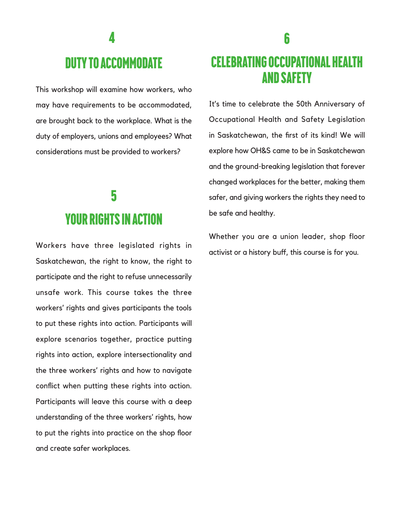### **4**

### Duty to Accommodate

This workshop will examine how workers, who may have requirements to be accommodated, are brought back to the workplace. What is the duty of employers, unions and employees? What considerations must be provided to workers?

### 5 Your Rights in action

Workers have three legislated rights in Saskatchewan, the right to know, the right to participate and the right to refuse unnecessarily unsafe work. This course takes the three workers' rights and gives participants the tools to put these rights into action. Participants will explore scenarios together, practice putting rights into action, explore intersectionality and the three workers' rights and how to navigate conflict when putting these rights into action. Participants will leave this course with a deep understanding of the three workers' rights, how to put the rights into practice on the shop floor and create safer workplaces.

### Celebrating Occupational health and safety

It's time to celebrate the 50th Anniversary of Occupational Health and Safety Legislation in Saskatchewan, the first of its kind! We will explore how OH&S came to be in Saskatchewan and the ground-breaking legislation that forever changed workplaces for the better, making them safer, and giving workers the rights they need to be safe and healthy.

Whether you are a union leader, shop floor activist or a history buff, this course is for you.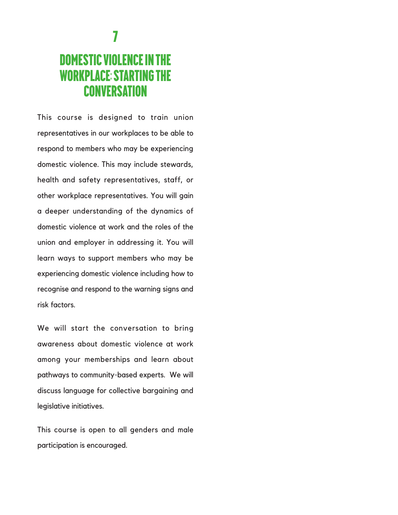### domestic violence in the workplace: starting the **CONVERSATION**

This course is designed to train union representatives in our workplaces to be able to respond to members who may be experiencing domestic violence. This may include stewards, health and safety representatives, staff, or other workplace representatives. You will gain a deeper understanding of the dynamics of domestic violence at work and the roles of the union and employer in addressing it. You will learn ways to support members who may be experiencing domestic violence including how to recognise and respond to the warning signs and risk factors.

We will start the conversation to bring awareness about domestic violence at work among your memberships and learn about pathways to community-based experts. We will discuss language for collective bargaining and legislative initiatives.

This course is open to all genders and male participation is encouraged.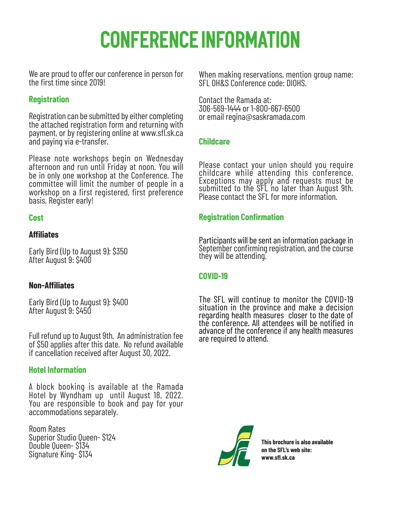# **Conference Information**

We are proud to offer our conference in person for the first time since 2019!

#### **Registration**

Registration can be submitted by either completing the attached registration form and returning with payment, or by registering online at www.sfl.sk.ca and paying via e-transfer.

Please note workshops begin on Wednesday afternoon and run until Friday at noon. You will be in only one workshop at the Conference. The committee will limit the number of people in a workshop on a first registered, first preference basis. Register early!

#### **Cost**

#### **Affiliates**

Early Bird (Up to August 9): \$350 After August 9: \$400

#### **Non-Affiliates**

Early Bird (Up to August 9): \$400 After August 9: \$450

Full refund up to August 9th. An administration fee of \$50 applies after this date. No refund available if cancellation received after August 30, 2022.

#### **Hotel Information**

A block booking is available at the Ramada Hotel by Wyndham up until August 18, 2022. You are responsible to book and pay for your accommodations separately.

Room Rates Superior Studio Queen- \$124 Double Queen- \$134 Signature King- \$134

When making reservations, mention group name: SFL OH&S Conference code: DIOHS.

Contact the Ramada at: 306-569-1444 or 1-800-667-6500 or email regina@saskramada.com

#### **Childcare**

Please contact your union should you require<br>childcare while attending this conference. Exceptions may apply and requests must be submitted to the SFL no later than August 9th. Please contact the SFL for more information.

#### **Registration Confirmation**

Participants will be sent an information package in September confirming registration, and the course they will be attending.

#### **COVID-19**

The SFL will continue to monitor the COVID-19 situation in the province and make a decision regarding health measures closer to the date of the conference. All attendees will be notified in advance of the conference if any health measures are required to attend.



**This brochure is also available on the SFL's web site: www.sfl.sk.ca**